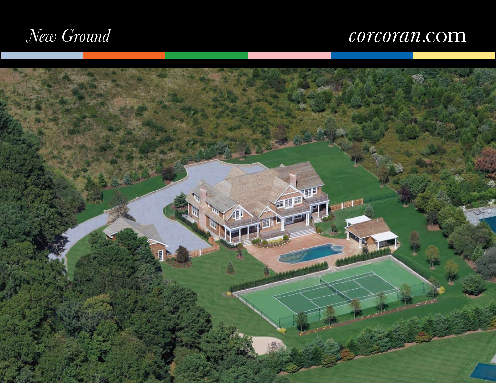# *New Ground*

# corcoran.com